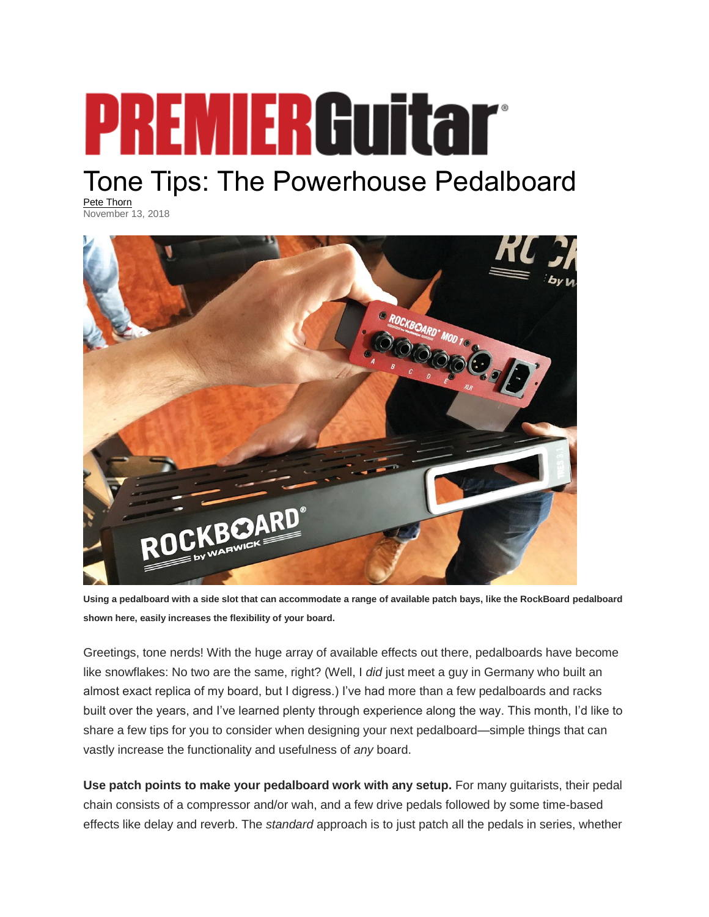## **PREMIERGuitar**

## Tone Tips: The Powerhouse Pedalboard

[Pete Thorn](https://www.premierguitar.com/authors/863-pete-thorn) November 13, 2018



**Using a pedalboard with a side slot that can accommodate a range of available patch bays, like the RockBoard pedalboard shown here, easily increases the flexibility of your board.**

Greetings, tone nerds! With the huge array of available effects out there, pedalboards have become like snowflakes: No two are the same, right? (Well, I *did* just meet a guy in Germany who built an almost exact replica of my board, but I digress.) I've had more than a few pedalboards and racks built over the years, and I've learned plenty through experience along the way. This month, I'd like to share a few tips for you to consider when designing your next pedalboard—simple things that can vastly increase the functionality and usefulness of *any* board.

**Use patch points to make your pedalboard work with any setup.** For many guitarists, their pedal chain consists of a compressor and/or wah, and a few drive pedals followed by some time-based effects like delay and reverb. The *standard* approach is to just patch all the pedals in series, whether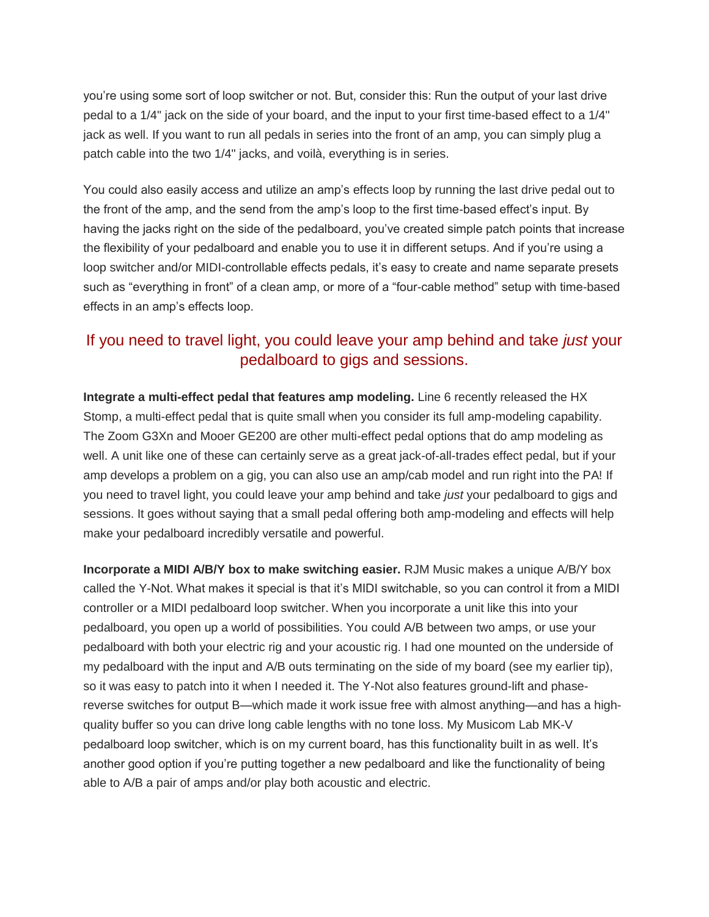you're using some sort of loop switcher or not. But, consider this: Run the output of your last drive pedal to a 1/4" jack on the side of your board, and the input to your first time-based effect to a 1/4" jack as well. If you want to run all pedals in series into the front of an amp, you can simply plug a patch cable into the two 1/4" jacks, and voilà, everything is in series.

You could also easily access and utilize an amp's effects loop by running the last drive pedal out to the front of the amp, and the send from the amp's loop to the first time-based effect's input. By having the jacks right on the side of the pedalboard, you've created simple patch points that increase the flexibility of your pedalboard and enable you to use it in different setups. And if you're using a loop switcher and/or MIDI-controllable effects pedals, it's easy to create and name separate presets such as "everything in front" of a clean amp, or more of a "four-cable method" setup with time-based effects in an amp's effects loop.

## If you need to travel light, you could leave your amp behind and take *just* your pedalboard to gigs and sessions.

**Integrate a multi-effect pedal that features amp modeling.** Line 6 recently released the HX Stomp, a multi-effect pedal that is quite small when you consider its full amp-modeling capability. The Zoom G3Xn and Mooer GE200 are other multi-effect pedal options that do amp modeling as well. A unit like one of these can certainly serve as a great jack-of-all-trades effect pedal, but if your amp develops a problem on a gig, you can also use an amp/cab model and run right into the PA! If you need to travel light, you could leave your amp behind and take *just* your pedalboard to gigs and sessions. It goes without saying that a small pedal offering both amp-modeling and effects will help make your pedalboard incredibly versatile and powerful.

**Incorporate a MIDI A/B/Y box to make switching easier.** RJM Music makes a unique A/B/Y box called the Y-Not. What makes it special is that it's MIDI switchable, so you can control it from a MIDI controller or a MIDI pedalboard loop switcher. When you incorporate a unit like this into your pedalboard, you open up a world of possibilities. You could A/B between two amps, or use your pedalboard with both your electric rig and your acoustic rig. I had one mounted on the underside of my pedalboard with the input and A/B outs terminating on the side of my board (see my earlier tip), so it was easy to patch into it when I needed it. The Y-Not also features ground-lift and phasereverse switches for output B—which made it work issue free with almost anything—and has a highquality buffer so you can drive long cable lengths with no tone loss. My Musicom Lab MK-V pedalboard loop switcher, which is on my current board, has this functionality built in as well. It's another good option if you're putting together a new pedalboard and like the functionality of being able to A/B a pair of amps and/or play both acoustic and electric.